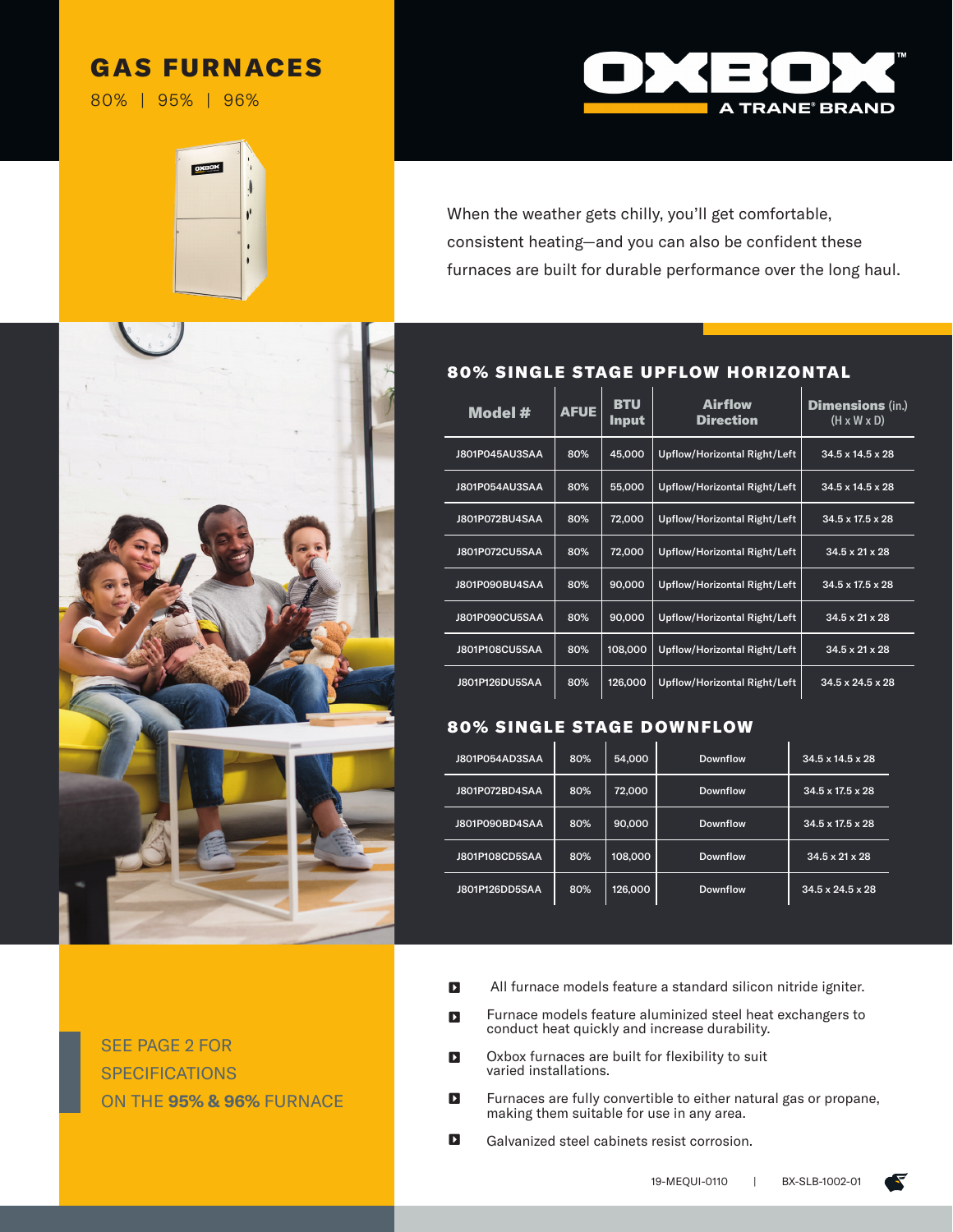# GAS FURNACES

80% | 95% | 96%







SEE PAGE 2 FOR SPECIFICATIONS ON THE **95% & 96%** FURNACE

## 80% SINGLE STAGE UPFLOW HORIZONTAL

| Model #        | <b>AFUE</b> | <b>BTU</b><br><b>Input</b> | Airflow<br><b>Direction</b>         | <b>Dimensions</b> (in.)<br>$(H \times W \times D)$ |
|----------------|-------------|----------------------------|-------------------------------------|----------------------------------------------------|
| J801P045AU3SAA | 80%         | 45,000                     | <b>Upflow/Horizontal Right/Left</b> | 34.5 x 14.5 x 28                                   |
| J801P054AU3SAA | 80%         | 55,000                     | <b>Upflow/Horizontal Right/Left</b> | 34.5 x 14.5 x 28                                   |
| J801P072BU4SAA | 80%         | 72,000                     | <b>Upflow/Horizontal Right/Left</b> | 34.5 x 17.5 x 28                                   |
| J801P072CU5SAA | 80%         | 72,000                     | <b>Upflow/Horizontal Right/Left</b> | 34.5 x 21 x 28                                     |
| J801P090BU4SAA | 80%         | 90,000                     | <b>Upflow/Horizontal Right/Left</b> | 34.5 x 17.5 x 28                                   |
| J801P090CU5SAA | 80%         | 90,000                     | <b>Upflow/Horizontal Right/Left</b> | 34.5 x 21 x 28                                     |
| J801P108CU5SAA | 80%         | 108,000                    | <b>Upflow/Horizontal Right/Left</b> | 34.5 x 21 x 28                                     |
| J801P126DU5SAA | 80%         | 126,000                    | <b>Upflow/Horizontal Right/Left</b> | $34.5 \times 24.5 \times 28$                       |

## **80% SINGLE STAGE DOWNFLOW**

| J801P054AD3SAA | 80% | 54,000  | <b>Downflow</b> | $34.5 \times 14.5 \times 28$ |
|----------------|-----|---------|-----------------|------------------------------|
| J801P072BD4SAA | 80% | 72,000  | <b>Downflow</b> | 34.5 x 17.5 x 28             |
| J801P090BD4SAA | 80% | 90,000  | <b>Downflow</b> | 34.5 x 17.5 x 28             |
| J801P108CD5SAA | 80% | 108,000 | Downflow        | 34.5 x 21 x 28               |
| J801P126DD5SAA | 80% | 126,000 | <b>Downflow</b> | $34.5 \times 24.5 \times 28$ |

- All furnace models feature a standard silicon nitride igniter.  $\mathbf{D}$
- Furnace models feature aluminized steel heat exchangers to conduct heat quickly and increase durability.  $\blacksquare$
- Oxbox furnaces are built for flexibility to suit varied installations.  $\mathbf{D}$
- Furnaces are fully convertible to either natural gas or propane, making them suitable for use in any area.  $\mathbf{D}$
- Galvanized steel cabinets resist corrosion.  $\mathbf{D}$

Œ